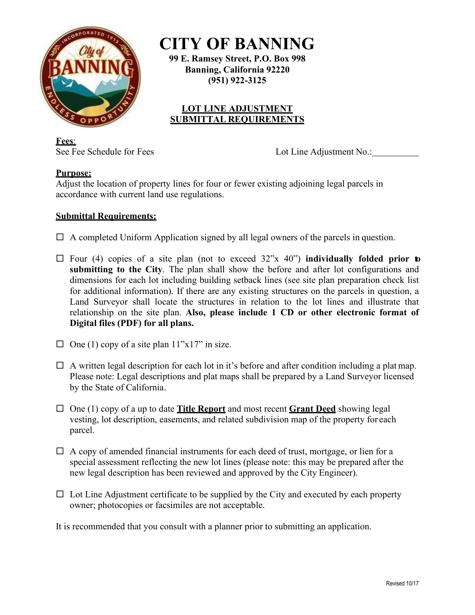

**CITY OF BANNING**

**99 E. Ramsey Street, P.O. Box 998 Banning, California 92220 (951) 922-3125**

## **LOT LINE ADJUSTMENT SUBMITTAL REQUIREMENTS**

**Fees**:

See Fee Schedule for Fees Lot Line Adjustment No.:

## **Purpose:**

Adjust the location of property lines for four or fewer existing adjoining legal parcels in accordance with current land use regulations.

## **Submittal Requirements:**

 $\Box$  A completed Uniform Application signed by all legal owners of the parcels in question.

- $\Box$  Four (4) copies of a site plan (not to exceed  $32$ "x 40") **individually folded prior to submitting to the City**. The plan shall show the before and after lot configurations and dimensions for each lot including building setback lines (see site plan preparation check list for additional information). If there are any existing structures on the parcels in question, a Land Surveyor shall locate the structures in relation to the lot lines and illustrate that relationship on the site plan. **Also, please include 1 CD or other electronic format of Digital files (PDF) for all plans.**
- $\Box$  One (1) copy of a site plan 11"x17" in size.
- $\Box$  A written legal description for each lot in it's before and after condition including a platmap. Please note: Legal descriptions and plat maps shall be prepared by a Land Surveyor licensed by the State of California.
- $\Box$  One (1) copy of a up to date **Title Report** and most recent **Grant Deed** showing legal vesting, lot description, easements, and related subdivision map of the property for each parcel.
- $\Box$  A copy of amended financial instruments for each deed of trust, mortgage, or lien for a special assessment reflecting the new lot lines (please note: this may be prepared after the new legal description has been reviewed and approved by the City Engineer).
- $\Box$  Lot Line Adjustment certificate to be supplied by the City and executed by each property owner; photocopies or facsimiles are not acceptable.

It is recommended that you consult with a planner prior to submitting an application.